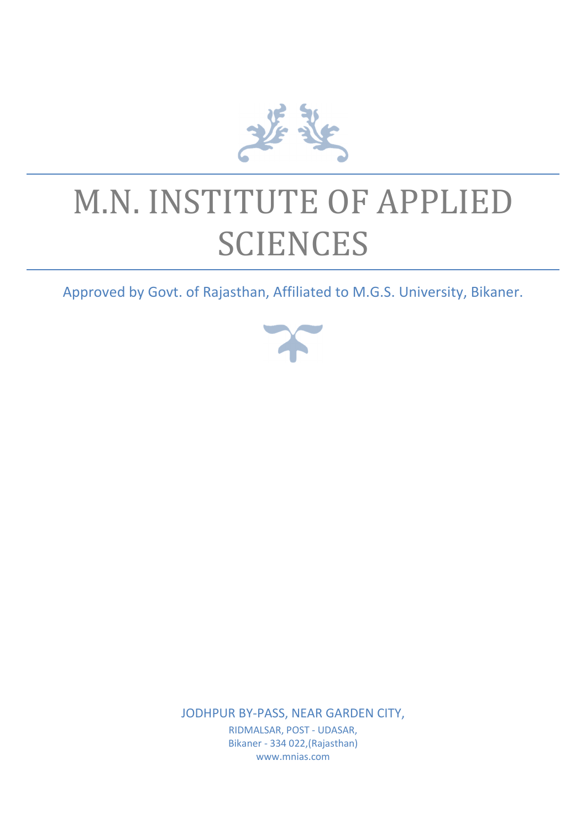

# M.N. INSTITUTE OF APPLIED **SCIENCES**

Approved by Govt. of Rajasthan, Affiliated to M.G.S. University, Bikaner.



JODHPUR BY-PASS, NEAR GARDEN CITY,

RIDMALSAR, POST - UDASAR, Bikaner - 334 022,(Rajasthan) www.mnias.com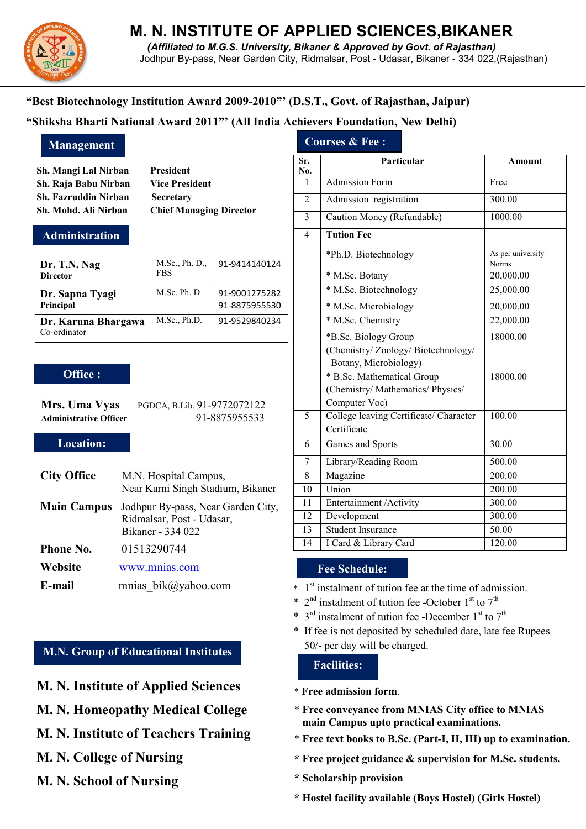

# **M. N. INSTITUTE OF APPLIED SCIENCES,BIKANER**

*(Affiliated to M.G.S. University, Bikaner & Approved by Govt. of Rajasthan)*  Jodhpur By-pass, Near Garden City, Ridmalsar, Post - Udasar, Bikaner - 334 022,(Rajasthan)

### **"Best Biotechnology Institution Award 2009-2010"' (D.S.T., Govt. of Rajasthan, Jaipur)**

#### **"Shiksha Bharti National Award 2011"' (All India Achievers Foundation, New Delhi)**

**Sh. Mangi Lal Nirban President Sh. Raja Babu Nirban Vice President Sh. Fazruddin Nirban Secretary Sh. Mohd. Ali Nirban Chief Managing Director** 

#### **Administration**

| Dr. T.N. Nag<br><b>Director</b>     | M.Sc., Ph. D.,<br><b>FBS</b> | 91-9414140124                  |
|-------------------------------------|------------------------------|--------------------------------|
| Dr. Sapna Tyagi<br>Principal        | M.Sc. Ph. D                  | 91-9001275282<br>91-8875955530 |
| Dr. Karuna Bhargawa<br>Co-ordinator | M.Sc., Ph.D.                 | 91-9529840234                  |

#### **Office :**

| Mrs. Uma Vyas                 | PGDCA, B.Lib. 91-9772072122 |
|-------------------------------|-----------------------------|
| <b>Administrative Officer</b> | 91-8875955533               |

#### **Location:**

| <b>City Office</b> | M.N. Hospital Campus,<br>Near Karni Singh Stadium, Bikaner                           |
|--------------------|--------------------------------------------------------------------------------------|
| <b>Main Campus</b> | Jodhpur By-pass, Near Garden City,<br>Ridmalsar, Post - Udasar,<br>Bikaner - 334 022 |
| Phone No.          | 01513290744                                                                          |
| Website            | www.mnias.com                                                                        |
| E-mail             | mnias $bik@yahoo.com$                                                                |

#### **M.N. Group of Educational Institutes**

- **M. N. Institute of Applied Sciences**
- **M. N. Homeopathy Medical College**
- **M. N. Institute of Teachers Training**
- **M. N. College of Nursing**
- **M. N. School of Nursing**

## **Management Courses & Fee :**

| Sr.<br>No.     | Particular                                                                                                                                     | <b>Amount</b>                     |
|----------------|------------------------------------------------------------------------------------------------------------------------------------------------|-----------------------------------|
| 1              | <b>Admission Form</b>                                                                                                                          | Free                              |
| $\overline{2}$ | Admission registration                                                                                                                         | 300.00                            |
| 3              | Caution Money (Refundable)                                                                                                                     | 1000.00                           |
| $\overline{4}$ | <b>Tution Fee</b>                                                                                                                              |                                   |
|                | *Ph.D. Biotechnology                                                                                                                           | As per university<br><b>Norms</b> |
|                | * M.Sc. Botany                                                                                                                                 | 20,000.00                         |
|                | * M.Sc. Biotechnology                                                                                                                          | 25,000.00                         |
|                | * M.Sc. Microbiology                                                                                                                           | 20,000.00                         |
|                | * M.Sc. Chemistry                                                                                                                              | 22,000.00                         |
|                | *B.Sc. Biology Group                                                                                                                           | 18000.00                          |
|                | (Chemistry/Zoology/Biotechnology/<br>Botany, Microbiology)<br>* B.Sc. Mathematical Group<br>(Chemistry/ Mathematics/ Physics/<br>Computer Voc) | 18000.00                          |
| 5              | College leaving Certificate/ Character                                                                                                         | 100.00                            |
|                | Certificate                                                                                                                                    |                                   |
| 6              | Games and Sports                                                                                                                               | 30.00                             |
| 7              | Library/Reading Room                                                                                                                           | 500.00                            |
| 8              | Magazine                                                                                                                                       | 200.00                            |
| 10             | Union                                                                                                                                          | 200.00                            |
| 11             | Entertainment / Activity                                                                                                                       | 300.00                            |
| 12             | Development                                                                                                                                    | 300.00                            |
| 13             | <b>Student Insurance</b>                                                                                                                       | 50.00                             |
| 14             | I Card & Library Card                                                                                                                          | 120.00                            |

#### **Fee Schedule:**

- $*$  1<sup>st</sup> instalment of tution fee at the time of admission.
- \*  $2<sup>nd</sup>$  instalment of tution fee -October 1<sup>st</sup> to 7<sup>th</sup>
- \*  $3<sup>rd</sup>$  instalment of tution fee -December 1<sup>st</sup> to 7<sup>th</sup>
- \* If fee is not deposited by scheduled date, late fee Rupees 50/- per day will be charged.

#### **Facilities:**

- \* **Free admission form**.
- \* **Free conveyance from MNIAS City office to MNIAS main Campus upto practical examinations.**
- \* **Free text books to B.Sc. (Part-I, II, III) up to examination.**
- **\* Free project guidance & supervision for M.Sc. students.**
- **\* Scholarship provision**
- **\* Hostel facility available (Boys Hostel) (Girls Hostel)**